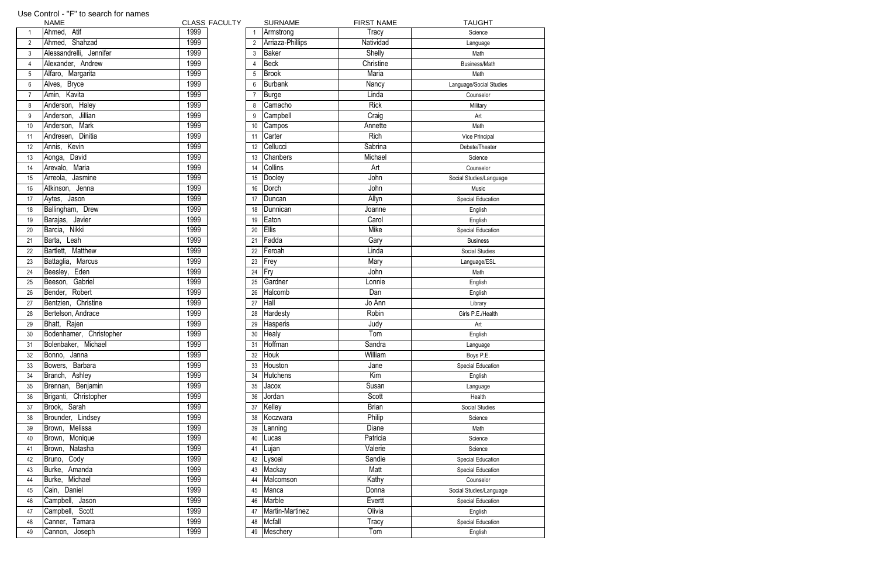|                | <b>IVAIVIE</b>          | ז כבא∟ט |
|----------------|-------------------------|---------|
| $\mathbf{1}$   | Ahmed, Atif             | 1999    |
| $\overline{2}$ | Ahmed, Shahzad          | 1999    |
| $\overline{3}$ | Alessandrelli, Jennifer | 1999    |
| 4              | Alexander, Andrew       | 1999    |
| 5              | Alfaro, Margarita       | 1999    |
| 6              | Alves, Bryce            | 1999    |
| $\overline{7}$ | Amin, Kavita            | 1999    |
| 8              | Anderson, Haley         | 1999    |
| 9              | Anderson, Jillian       | 1999    |
| 10             | Anderson, Mark          | 1999    |
| 11             | Andresen, Dinitia       | 1999    |
| 12             | Annis, Kevin            | 1999    |
| 13             | Aonga, David            | 1999    |
| 14             | Arevalo, Maria          | 1999    |
| 15             | Arreola, Jasmine        | 1999    |
| 16             | Atkinson, Jenna         | 1999    |
| 17             | Aytes, Jason            | 1999    |
| 18             | Ballingham, Drew        | 1999    |
| 19             | Barajas, Javier         | 1999    |
| 20             | Barcia, Nikki           | 1999    |
| 21             | Barta, Leah             | 1999    |
| 22             | Bartlett, Matthew       | 1999    |
| 23             | Battaglia, Marcus       | 1999    |
| 24             | Beesley, Eden           | 1999    |
| 25             | Beeson, Gabriel         | 1999    |
| 26             | Bender, Robert          | 1999    |
| 27             | Bentzien, Christine     | 1999    |
| 28             | Bertelson, Andrace      | 1999    |
| 29             | Bhatt, Rajen            | 1999    |
| 30             | Bodenhamer, Christopher | 1999    |
| 31             | Bolenbaker, Michael     | 1999    |
| 32             | Janna<br>Bonno,         | 1999    |
| 33             | Bowers, Barbara         | 1999    |
| 34             | Branch, Ashley          | 1999    |
| 35             | Brennan, Benjamin       | 1999    |
| 36             | Briganti, Christopher   | 1999    |
| 37             | Brook, Sarah            | 1999    |
| 38             | Brounder, Lindsey       | 1999    |
| 39             | Brown, Melissa          | 1999    |
| 40             | Brown, Monique          | 1999    |
| 41             | Brown, Natasha          | 1999    |
| 42             | Bruno, Cody             | 1999    |
| 43             | Burke, Amanda           | 1999    |
| 44             | Burke, Michael          | 1999    |
| 45             | Cain, Daniel            | 1999    |
| 46             | Campbell, Jason         | 1999    |
| 47             | Campbell, Scott         | 1999    |
| 48             | Canner, Tamara          | 1999    |
| 49             | Cannon, Joseph          | 1999    |
|                |                         |         |

| <b>NAME</b>                          | <b>CLASS FACULTY</b> | <b>SURNAME</b>           | <b>FIRST NAME</b> | <b>TAUGHT</b>            |
|--------------------------------------|----------------------|--------------------------|-------------------|--------------------------|
| Ahmed, Atif<br>$\mathbf{1}$          | 1999                 | Armstrong                | Tracy             | Science                  |
| Ahmed, Shahzad<br>$\overline{2}$     | 1999                 | Arriaza-Phillips         | Natividad         | Language                 |
| Alessandrelli, Jennifer<br>3         | 1999                 | Baker<br>3               | Shelly            | Math                     |
| $\overline{4}$<br>Alexander, Andrew  | 1999                 | Beck                     | Christine         | <b>Business/Math</b>     |
| Alfaro, Margarita<br>$5\phantom{.0}$ | 1999                 | <b>Brook</b><br>5        | Maria             | Math                     |
| $\,6\,$<br>Alves, Bryce              | 1999                 | Burbank<br>6             | Nancy             | Language/Social Studies  |
| $\overline{7}$<br>Amin, Kavita       | 1999                 | <b>Burge</b>             | Linda             | Counselor                |
| Anderson, Haley<br>8                 | 1999                 | Camacho<br>8             | <b>Rick</b>       | Military                 |
| Anderson, Jillian<br>9               | 1999                 | Campbell                 | Craig             | Art                      |
| 10 <sup>1</sup><br>Anderson, Mark    | 1999                 | Campos<br>10             | Annette           | Math                     |
| Andresen, Dinitia<br>11              | 1999                 | Carter<br>11             | Rich              | Vice Principal           |
| Annis, Kevin<br>12 <sup>°</sup>      | 1999                 | Cellucci<br>12           | Sabrina           | Debate/Theater           |
| 13<br>David<br>Aonga,                | 1999                 | <b>Chanbers</b><br>13    | Michael           | Science                  |
| Arevalo, Maria                       | 1999                 | <b>Collins</b><br>14     | Art               | Counselor                |
| 15<br>Arreola,<br>Jasmine            | 1999                 | Dooley<br>15             | John              | Social Studies/Language  |
| Atkinson, Jenna                      | 1999                 | Dorch<br>16              | John              | Music                    |
| Aytes, Jason<br>17                   | 1999                 | Duncan<br>17             | Allyn             | <b>Special Education</b> |
| Ballingham, Drew<br>18               | 1999                 | Dunnican<br>18           | Joanne            | English                  |
| Barajas, Javier<br>19                | 1999                 | Eaton<br>19              | Carol             | English                  |
| Barcia, Nikki<br>20                  | 1999                 | <b>Ellis</b><br>20       | Mike              | <b>Special Education</b> |
| Barta,<br>Leah                       | 1999                 | Fadda<br>21              | Gary              | <b>Business</b>          |
| Bartlett, Matthew                    | 1999                 | Feroah<br>22             | Linda             | <b>Social Studies</b>    |
| Marcus<br>Battaglia,                 | 1999                 | Frey<br>23               | Mary              | Language/ESL             |
| Eden<br>Beesley,                     | 1999                 | <b>T</b> Fry<br>24       | John              | Math                     |
| Beeson, Gabriel<br>25                | 1999                 | Gardner<br>25            | Lonnie            | English                  |
| Bender, Robert                       | 1999                 | Halcomb<br>26            | Dan               | English                  |
| Bentzien, Christine                  | 1999                 | Hall<br>27               | Jo Ann            | Library                  |
| Bertelson, Andrace                   | 1999                 | Hardesty<br>28           | Robin             | Girls P.E./Health        |
| 28<br>Bhatt, Rajen<br>29             | 1999                 | Hasperis<br>29           | Judy              | Art                      |
| Bodenhamer, Christopher<br>30        | 1999                 | Healy<br>30 <sup>°</sup> | Tom               | English                  |
| Bolenbaker, Michael                  | 1999                 | Hoffman                  | Sandra            | Language                 |
| Bonno,<br>Janna                      | 1999                 | Houk<br>32               | William           | Boys P.E.                |
| Barbara<br>Bowers,                   | 1999                 | Houston<br>33            | Jane              | Special Education        |
| Branch, Ashley                       | 1999                 | <b>Hutchens</b><br>34    | Kim               | English                  |
| Brennan, Benjamin                    | 1999                 | 35<br>Jacox              | Susan             | Language                 |
| Briganti, Christopher                | 1999                 | Jordan<br>36             | Scott             | Health                   |
| Brook, Sarah                         | 1999                 | Kelley<br>37             | <b>Brian</b>      | <b>Social Studies</b>    |
| Brounder, Lindsey                    | 1999                 | Koczwara<br>38           | Philip            | Science                  |
| Brown, Melissa<br>39                 | 1999                 | Lanning<br>39            | Diane             | Math                     |
| Monique<br>Brown,                    | 1999                 | 40<br>Lucas              | Patricia          | Science                  |
| Natasha<br>Brown,                    | 1999                 | Lujan<br>41              | Valerie           | Science                  |
| Bruno, Cody                          | 1999                 | Lysoal<br>42             | Sandie            | <b>Special Education</b> |
| 42<br>Burke, Amanda<br>43            | 1999                 | Mackay<br>43             | Matt              | <b>Special Education</b> |
| Burke, Michael                       | 1999                 | Malcomson<br>44          | Kathy             | Counselor                |
| Cain, Daniel                         | 1999                 | Manca<br>45              | Donna             | Social Studies/Language  |
| 45<br>Campbell,<br>46<br>Jason       | 1999                 | Marble<br>46             | Evertt            | Special Education        |
| Campbell, Scott<br>47                | 1999                 | Martin-Martinez<br>47    | Olivia            | English                  |
| 48<br>Tamara<br>Canner,              | 1999                 | <b>Mcfall</b><br>48      | Tracy             | Special Education        |
| Cannon, Joseph<br>49                 | 1999                 | 49 Meschery              | Tom               | English                  |

## Use Control - "F" to search for names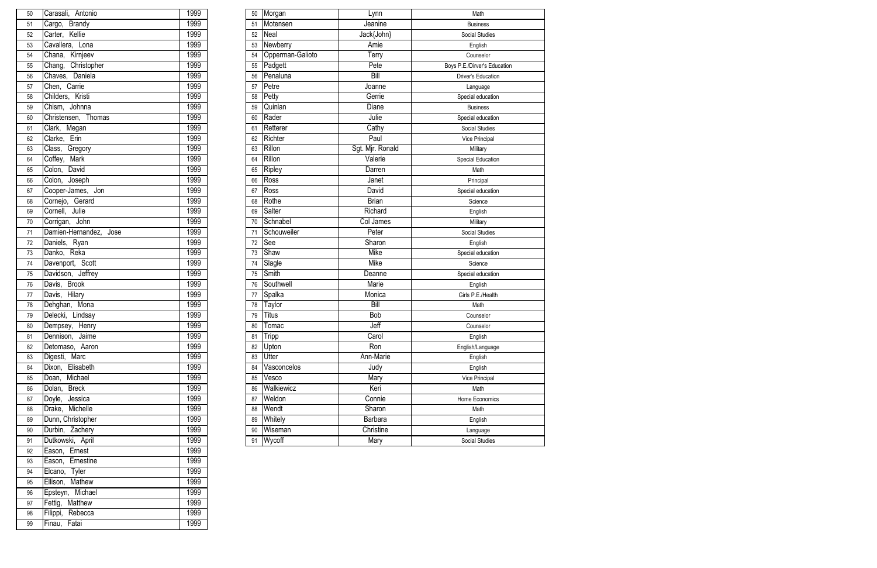| 50 | Carasali, Antonio      | 1999 | 50  | Morgan           | Lynn             | Math                         |
|----|------------------------|------|-----|------------------|------------------|------------------------------|
| 51 | Cargo, Brandy          | 1999 | 51  | Motensen         | Jeanine          | <b>Business</b>              |
| 52 | Carter, Kellie         | 1999 | 52  | Neal             | Jack{John}       | Social Studies               |
| 53 | Cavallera,<br>Lona     | 1999 | 53  | Newberry         | Amie             | English                      |
| 54 | Chana, Kirnjeev        | 1999 | 54  | Opperman-Galioto | Terry            | Counselor                    |
| 55 | Chang, Christopher     | 1999 | 55  | Padgett          | Pete             | Boys P.E./Dirver's Education |
| 56 | Chaves, Daniela        | 1999 | 56  | Penaluna         | <b>Bill</b>      | <b>Driver's Education</b>    |
| 57 | Chen, Carrie           | 1999 | 57  | Petre            | Joanne           | Language                     |
| 58 | Childers, Kristi       | 1999 | 58  | Petty            | Gerrie           | Special education            |
| 59 | Chism, Johnna          | 1999 | 59  | Quinlan          | Diane            | <b>Business</b>              |
| 60 | Christensen, Thomas    | 1999 | 60  | Rader            | Julie            | Special education            |
| 61 | Clark, Megan           | 1999 | 61  | Retterer         | Cathy            | Social Studies               |
| 62 | Clarke, Erin           | 1999 | 62  | Richter          | Paul             | Vice Principal               |
| 63 | Class,<br>Gregory      | 1999 | 63  | Rillon           | Sgt. Mjr. Ronald | Military                     |
| 64 | Coffey, Mark           | 1999 | 64  | Rillon           | Valerie          | Special Education            |
| 65 | Colon, David           | 1999 | 65  | Ripley           | Darren           | Math                         |
| 66 | Colon, Joseph          | 1999 | 66  | Ross             | Janet            | Principal                    |
| 67 | Cooper-James, Jon      | 1999 | 67  | Ross             | David            | Special education            |
| 68 | Cornejo, Gerard        | 1999 | 68  | Rothe            | <b>Brian</b>     | Science                      |
| 69 | Cornell, Julie         | 1999 | 69  | Salter           | Richard          | English                      |
| 70 | John<br>Corrigan,      | 1999 | 70  | Schnabel         | Col James        | Military                     |
| 71 | Damien-Hernandez, Jose | 1999 | 71  | Schouweiler      | Peter            | Social Studies               |
| 72 | Daniels, Ryan          | 1999 | 72  | See              | Sharon           | English                      |
| 73 | Danko, Reka            | 1999 | 73  | Shaw             | Mike             | Special education            |
| 74 | Davenport, Scott       | 1999 | -74 | Slagle           | Mike             | Science                      |
| 75 | Davidson, Jeffrey      | 1999 | 75  | Smith            | Deanne           | Special education            |
| 76 | Davis, Brook           | 1999 | 76  | Southwell        | Marie            | English                      |
| 77 | Hilary<br>Davis,       | 1999 | 77  | Spalka           | Monica           | Girls P.E./Health            |
| 78 | Dehghan, Mona          | 1999 | 78  | Taylor           | Bill             | Math                         |
| 79 | Delecki, Lindsay       | 1999 | 79  | <b>Titus</b>     | Bob              | Counselor                    |
| 80 | Dempsey, Henry         | 1999 | 80  | Tomac            | Jeff             | Counselor                    |
| 81 | Dennison, Jaime        | 1999 | 81  | <b>Tripp</b>     | Carol            | English                      |
| 82 | Detomaso, Aaron        | 1999 | 82  | Upton            | Ron              | English/Language             |
| 83 | Digesti, Marc          | 1999 | 83  | <b>Utter</b>     | Ann-Marie        | English                      |
| 84 | Dixon, Elisabeth       | 1999 | 84  | Vasconcelos      | Judy             | English                      |
| 85 | Doan, Michael          | 1999 | 85  | Vesco            | Mary             | Vice Principal               |
| 86 | <b>Breck</b><br>Dolan, | 1999 | 86  | Walkiewicz       | Keri             | Math                         |
| 87 | Jessica<br>Doyle,      | 1999 | 87  | Weldon           | Connie           | Home Economics               |
| 88 | Drake, Michelle        | 1999 | 88  | Wendt            | Sharon           | Math                         |
| 89 | Dunn, Christopher      | 1999 | 89  | Whitely          | Barbara          | English                      |
| 90 | Durbin, Zachery        | 1999 | 90  | Wiseman          | Christine        | Language                     |
| 91 | Dutkowski, April       | 1999 | 91  | Wycoff           | Mary             | Social Studies               |

| 50 | Carasali, Antonio      | 1999 |
|----|------------------------|------|
| 51 | Cargo, Brandy          | 1999 |
| 52 | Carter, Kellie         | 1999 |
| 53 | Cavallera, Lona        | 1999 |
| 54 | Chana, Kirnjeev        | 1999 |
| 55 | Chang, Christopher     | 1999 |
| 56 | Chaves, Daniela        | 1999 |
| 57 | Chen, Carrie           | 1999 |
| 58 | Childers, Kristi       | 1999 |
| 59 | Chism, Johnna          | 1999 |
| 60 | Christensen, Thomas    | 1999 |
| 61 | Clark, Megan           | 1999 |
| 62 | Clarke, Erin           | 1999 |
| 63 | Class, Gregory         | 1999 |
| 64 | Coffey, Mark           | 1999 |
| 65 | Colon, David           | 1999 |
| 66 | Colon, Joseph          | 1999 |
| 67 | Cooper-James, Jon      | 1999 |
| 68 | Cornejo, Gerard        | 1999 |
| 69 | Cornell, Julie         | 1999 |
| 70 | Corrigan, John         | 1999 |
| 71 | Damien-Hernandez, Jose | 1999 |
| 72 | Daniels, Ryan          | 1999 |
| 73 | Danko, Reka            | 1999 |
| 74 | Davenport, Scott       | 1999 |
| 75 | Davidson, Jeffrey      | 1999 |
| 76 | Davis, Brook           | 1999 |
| 77 | Davis, Hilary          | 1999 |
| 78 | Dehghan, Mona          | 1999 |
| 79 | Delecki, Lindsay       | 1999 |
| 80 | Dempsey, Henry         | 1999 |
| 81 | Dennison, Jaime        | 1999 |
| 82 | Detomaso, Aaron        | 1999 |
| 83 | Digesti, Marc          | 1999 |
| 84 | Dixon, Elisabeth       | 1999 |
| 85 | Doan, Michael          | 1999 |
| 86 | Dolan, Breck           | 1999 |
| 87 | Doyle, Jessica         | 1999 |
| 88 | Drake, Michelle        | 1999 |
| 89 | Dunn, Christopher      | 1999 |
| 90 | Durbin, Zachery        | 1999 |
| 91 | Dutkowski, April       | 1999 |
| 92 | Eason, Ernest          | 1999 |
| 93 | Eason, Ernestine       | 1999 |
| 94 | Elcano, Tyler          | 1999 |
| 95 | Ellison, Mathew        | 1999 |
| 96 | Epsteyn, Michael       | 1999 |
| 97 | Fettig, Matthew        | 1999 |
| 98 | Filippi, Rebecca       | 1999 |
| 99 | Finau, Fatai           | 1999 |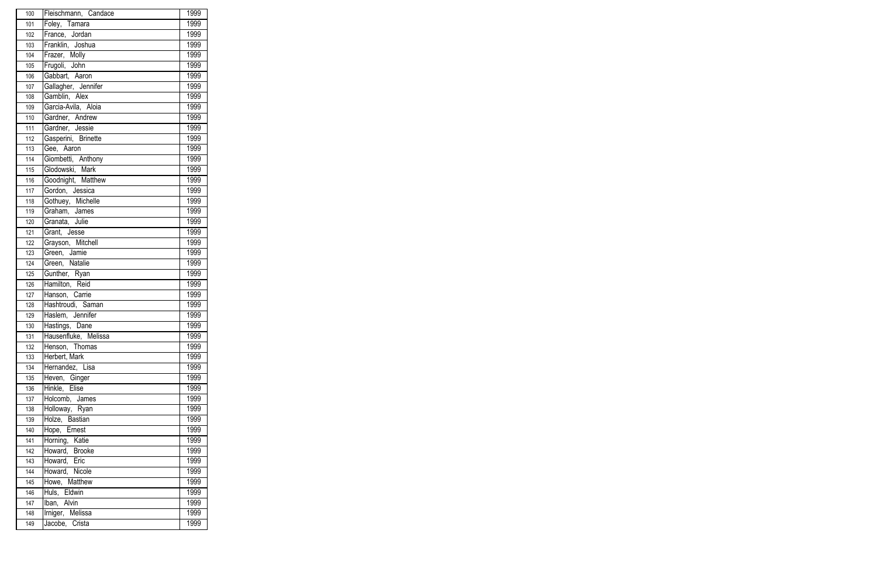| 100 | Fleischmann, Candace | 1999 |
|-----|----------------------|------|
| 101 | Foley, Tamara        | 1999 |
| 102 | France, Jordan       | 1999 |
| 103 | Franklin, Joshua     | 1999 |
| 104 | Frazer, Molly        | 1999 |
| 105 | Frugoli, John        | 1999 |
| 106 | Gabbart, Aaron       | 1999 |
| 107 | Gallagher, Jennifer  | 1999 |
| 108 | Gamblin, Alex        | 1999 |
| 109 | Garcia-Avila, Aloia  | 1999 |
| 110 | Gardner, Andrew      | 1999 |
| 111 | Gardner, Jessie      | 1999 |
| 112 | Gasperini, Brinette  | 1999 |
| 113 | Gee, Aaron           | 1999 |
| 114 | Giombetti, Anthony   | 1999 |
| 115 | Glodowski, Mark      | 1999 |
| 116 | Goodnight, Matthew   | 1999 |
| 117 | Gordon, Jessica      | 1999 |
| 118 | Gothuey, Michelle    | 1999 |
| 119 | Graham, James        | 1999 |
| 120 | Granata, Julie       | 1999 |
| 121 | Grant, Jesse         | 1999 |
| 122 | Grayson, Mitchell    | 1999 |
| 123 | Green, Jamie         | 1999 |
| 124 | Green, Natalie       | 1999 |
| 125 | Gunther, Ryan        | 1999 |
| 126 | Hamilton, Reid       | 1999 |
| 127 | Hanson, Carrie       | 1999 |
| 128 | Hashtroudi, Saman    | 1999 |
| 129 | Haslem, Jennifer     | 1999 |
| 130 | Hastings, Dane       | 1999 |
| 131 | Hausenfluke, Melissa | 1999 |
| 132 | Henson, Thomas       | 1999 |
| 133 | Herbert, Mark        | 1999 |
| 134 | Hernandez, Lisa      | 1999 |
| 135 | Heven, Ginger        | 1999 |
| 136 | Hinkle, Elise        | 1999 |
| 137 | Holcomb, James       | 1999 |
| 138 | Holloway, Ryan       | 1999 |
| 139 | Holze, Bastian       | 1999 |
| 140 | Hope, Ernest         | 1999 |
| 141 | Horning, Katie       | 1999 |
| 142 | Howard, Brooke       | 1999 |
| 143 | Howard, Eric         | 1999 |
| 144 | Howard, Nicole       | 1999 |
| 145 | Howe, Matthew        | 1999 |
| 146 | Huls, Eldwin         | 1999 |
| 147 | Iban, Alvin          | 1999 |
| 148 | Irniger, Melissa     | 1999 |
| 149 | Jacobe, Crista       | 1999 |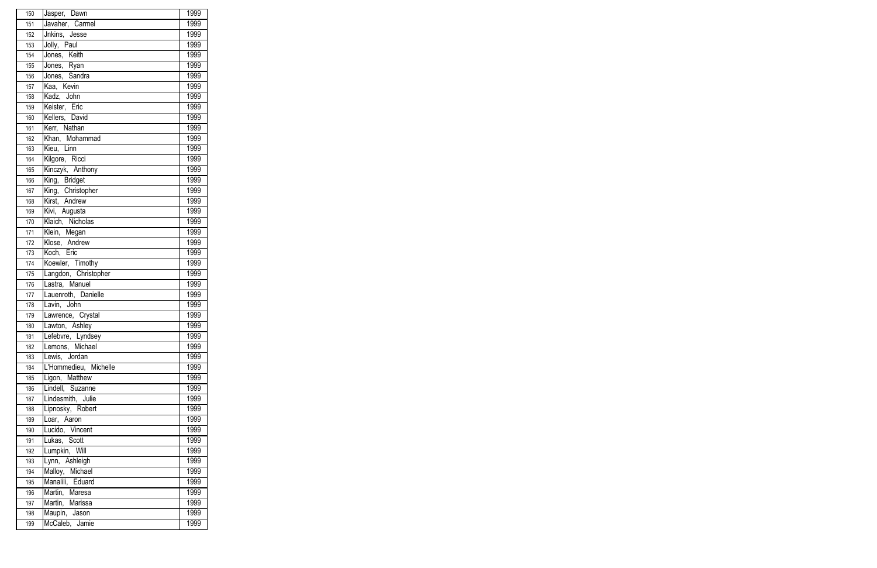| 150 | Jasper, Dawn          | 1999 |
|-----|-----------------------|------|
| 151 | Javaher, Carmel       | 1999 |
| 152 | Jnkins, Jesse         | 1999 |
| 153 | Jolly, Paul           | 1999 |
| 154 | Jones, Keith          | 1999 |
| 155 | Jones, Ryan           | 1999 |
| 156 | Jones, Sandra         | 1999 |
| 157 | Kaa, Kevin            | 1999 |
| 158 | Kadz, John            | 1999 |
| 159 | Keister, Eric         | 1999 |
| 160 | Kellers, David        | 1999 |
| 161 | Kerr, Nathan          | 1999 |
| 162 | Khan, Mohammad        | 1999 |
| 163 | Kieu, Linn            | 1999 |
| 164 | Kilgore, Ricci        | 1999 |
| 165 | Kinczyk, Anthony      | 1999 |
| 166 | King, Bridget         | 1999 |
| 167 | King, Christopher     | 1999 |
| 168 | Kirst, Andrew         | 1999 |
| 169 | Kivi, Augusta         | 1999 |
| 170 | Klaich, Nicholas      | 1999 |
| 171 | Klein, Megan          | 1999 |
| 172 | Klose, Andrew         | 1999 |
| 173 | Koch, Eric            | 1999 |
| 174 | Koewler, Timothy      | 1999 |
| 175 | Langdon, Christopher  | 1999 |
| 176 | Lastra, Manuel        | 1999 |
| 177 | Lauenroth, Danielle   | 1999 |
| 178 | Lavin, John           | 1999 |
| 179 | Lawrence, Crystal     | 1999 |
| 180 | Lawton, Ashley        | 1999 |
| 181 | Lefebvre, Lyndsey     | 1999 |
| 182 | Lemons, Michael       | 1999 |
| 183 | Lewis, Jordan         | 1999 |
| 184 | L'Hommedieu, Michelle | 1999 |
| 185 | Ligon, Matthew        | 1999 |
| 186 | Lindell, Suzanne      | 1999 |
| 187 | Lindesmith, Julie     | 1999 |
| 188 | Lipnosky, Robert      | 1999 |
| 189 | Loar, Aaron           | 1999 |
| 190 | Lucido, Vincent       | 1999 |
| 191 | Lukas, Scott          | 1999 |
| 192 | Lumpkin, Will         | 1999 |
| 193 | Lynn, Ashleigh        | 1999 |
| 194 | Malloy, Michael       | 1999 |
| 195 | Manalili, Eduard      | 1999 |
| 196 | Martin, Maresa        | 1999 |
| 197 | Martin, Marissa       | 1999 |
| 198 | Maupin, Jason         | 1999 |
| 199 | McCaleb, Jamie        | 1999 |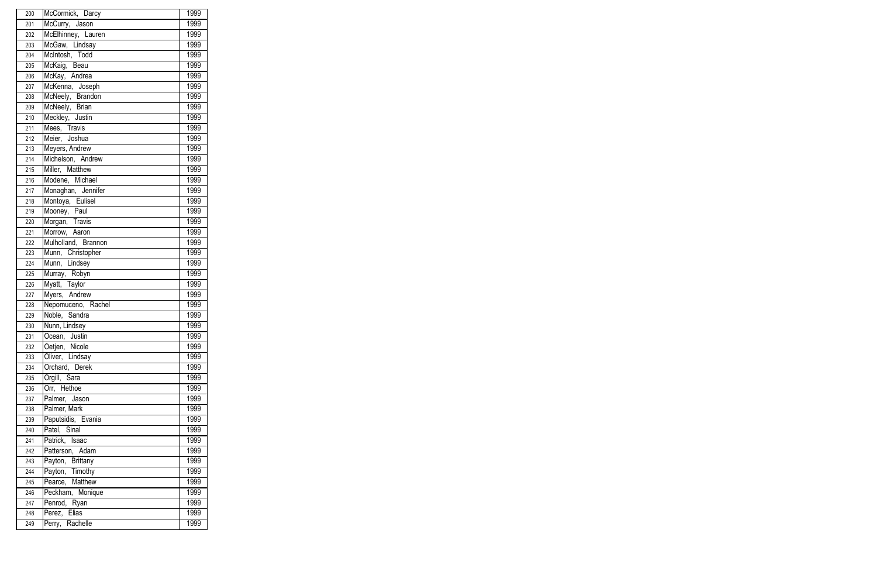| 200 | McCormick, Darcy    | 1999 |
|-----|---------------------|------|
| 201 | McCurry, Jason      | 1999 |
| 202 | McElhinney, Lauren  | 1999 |
| 203 | McGaw, Lindsay      | 1999 |
| 204 | McIntosh, Todd      | 1999 |
| 205 | McKaig, Beau        | 1999 |
| 206 | McKay, Andrea       | 1999 |
| 207 | McKenna, Joseph     | 1999 |
| 208 | McNeely, Brandon    | 1999 |
| 209 | McNeely, Brian      | 1999 |
| 210 | Meckley, Justin     | 1999 |
| 211 | Mees, Travis        | 1999 |
| 212 | Meier, Joshua       | 1999 |
| 213 | Meyers, Andrew      | 1999 |
| 214 | Michelson, Andrew   | 1999 |
| 215 | Miller, Matthew     | 1999 |
| 216 | Modene, Michael     | 1999 |
| 217 | Monaghan, Jennifer  | 1999 |
| 218 | Montoya, Eulisel    | 1999 |
| 219 | Mooney, Paul        | 1999 |
| 220 | Morgan, Travis      | 1999 |
| 221 | Morrow, Aaron       | 1999 |
| 222 | Mulholland, Brannon | 1999 |
| 223 | Munn, Christopher   | 1999 |
| 224 | Munn, Lindsey       | 1999 |
| 225 | Murray, Robyn       | 1999 |
| 226 | Myatt, Taylor       | 1999 |
| 227 | Myers, Andrew       | 1999 |
| 228 | Nepomuceno, Rachel  | 1999 |
| 229 | Noble, Sandra       | 1999 |
| 230 | Nunn, Lindsey       | 1999 |
| 231 | Ocean, Justin       | 1999 |
| 232 | Oetjen, Nicole      | 1999 |
| 233 | Oliver, Lindsay     | 1999 |
| 234 | Orchard, Derek      | 1999 |
| 235 | Orgill, Sara        | 1999 |
| 236 | Orr, Hethoe         | 1999 |
| 237 | Palmer, Jason       | 1999 |
| 238 | Palmer, Mark        | 1999 |
| 239 | Paputsidis, Evania  | 1999 |
| 240 | Patel, Sinal        | 1999 |
| 241 | Patrick, Isaac      | 1999 |
| 242 | Patterson, Adam     | 1999 |
| 243 | Payton, Brittany    | 1999 |
| 244 | Payton, Timothy     | 1999 |
| 245 | Pearce, Matthew     | 1999 |
| 246 | Peckham, Monique    | 1999 |
| 247 | Penrod, Ryan        | 1999 |
| 248 | Perez, Elias        | 1999 |
| 249 | Perry, Rachelle     | 1999 |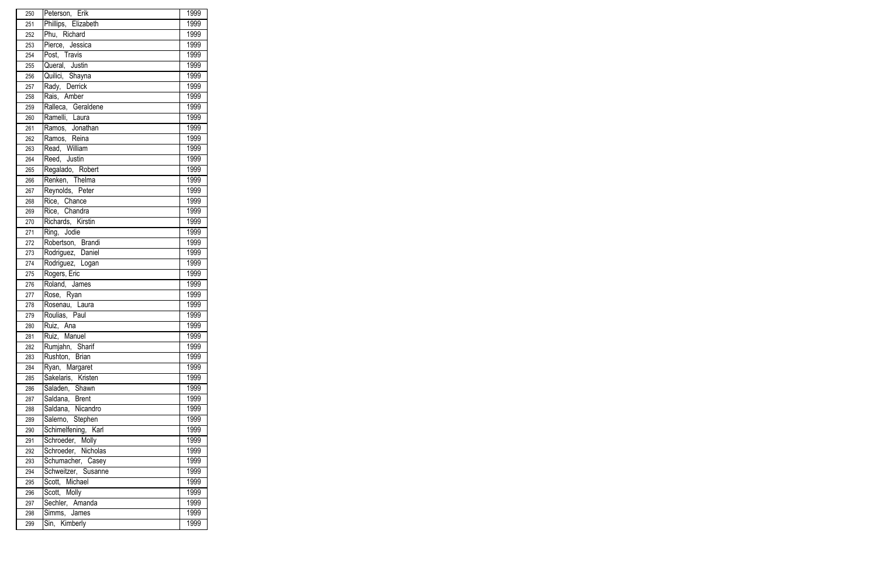| Phillips, Elizabeth<br>1999<br>251<br>Phu, Richard<br>1999<br>252<br>Pierce, Jessica<br>1999<br>253<br>1999<br>Post, Travis<br>254<br>Queral, Justin<br>1999<br>255<br>Quilici, Shayna<br>1999<br>256<br>Rady, Derrick<br>1999<br>257<br>Rais, Amber<br>1999<br>258<br>Ralleca, Geraldene<br>1999<br>259<br>Ramelli, Laura<br>1999<br>260<br>Ramos, Jonathan<br>1999<br>261<br>Ramos, Reina<br>1999<br>262<br>Read, William<br>1999<br>263<br>1999<br>Reed, Justin<br>264<br>Regalado, Robert<br>1999<br>265<br>Renken, Thelma<br>1999<br>266<br>Reynolds, Peter<br>1999<br>267<br>Rice, Chance<br>1999<br>268<br>Rice, Chandra<br>1999<br>269<br>Richards, Kirstin<br>1999<br>270<br>1999<br>Ring, Jodie<br>271<br>Robertson, Brandi<br>1999<br>272<br>Rodriguez, Daniel<br>1999<br>273<br>Rodriguez, Logan<br>1999<br>274<br>Rogers, Eric<br>1999<br>275<br>1999<br>Roland, James<br>276<br>1999<br>Rose, Ryan<br>277<br>Rosenau, Laura<br>1999<br>278<br>Roulias, Paul<br>1999<br>279<br>Ruiz, Ana<br>1999<br>280<br>Ruiz, Manuel<br>1999<br>281<br>1999<br>Rumjahn, Sharif<br>282<br>1999<br>Rushton, Brian<br>283<br>Ryan, Margaret<br>1999<br>284<br>Sakelaris, Kristen<br>1999<br>285<br>Saladen, Shawn<br>1999<br>286<br>Saldana, Brent<br>1999<br>287<br>1999<br>Saldana, Nicandro<br>288<br>Salerno, Stephen<br>1999<br>289<br>Schimelfening, Karl<br>1999<br>290<br>Schroeder, Molly<br>1999<br>291<br>Schroeder, Nicholas<br>1999<br>292<br>1999<br>Schumacher, Casey<br>293<br>Schweitzer, Susanne<br>1999<br>294<br>Scott, Michael<br>1999<br>295<br>Scott, Molly<br>1999<br>296<br>Sechler, Amanda<br>1999<br>297<br>Simms, James<br>1999<br>298<br>Sin, Kimberly<br>1999<br>299 | 250 | Peterson, Erik | 1999 |
|-------------------------------------------------------------------------------------------------------------------------------------------------------------------------------------------------------------------------------------------------------------------------------------------------------------------------------------------------------------------------------------------------------------------------------------------------------------------------------------------------------------------------------------------------------------------------------------------------------------------------------------------------------------------------------------------------------------------------------------------------------------------------------------------------------------------------------------------------------------------------------------------------------------------------------------------------------------------------------------------------------------------------------------------------------------------------------------------------------------------------------------------------------------------------------------------------------------------------------------------------------------------------------------------------------------------------------------------------------------------------------------------------------------------------------------------------------------------------------------------------------------------------------------------------------------------------------------------------------------------------------------------------------------------------------------------------|-----|----------------|------|
|                                                                                                                                                                                                                                                                                                                                                                                                                                                                                                                                                                                                                                                                                                                                                                                                                                                                                                                                                                                                                                                                                                                                                                                                                                                                                                                                                                                                                                                                                                                                                                                                                                                                                                 |     |                |      |
|                                                                                                                                                                                                                                                                                                                                                                                                                                                                                                                                                                                                                                                                                                                                                                                                                                                                                                                                                                                                                                                                                                                                                                                                                                                                                                                                                                                                                                                                                                                                                                                                                                                                                                 |     |                |      |
|                                                                                                                                                                                                                                                                                                                                                                                                                                                                                                                                                                                                                                                                                                                                                                                                                                                                                                                                                                                                                                                                                                                                                                                                                                                                                                                                                                                                                                                                                                                                                                                                                                                                                                 |     |                |      |
|                                                                                                                                                                                                                                                                                                                                                                                                                                                                                                                                                                                                                                                                                                                                                                                                                                                                                                                                                                                                                                                                                                                                                                                                                                                                                                                                                                                                                                                                                                                                                                                                                                                                                                 |     |                |      |
|                                                                                                                                                                                                                                                                                                                                                                                                                                                                                                                                                                                                                                                                                                                                                                                                                                                                                                                                                                                                                                                                                                                                                                                                                                                                                                                                                                                                                                                                                                                                                                                                                                                                                                 |     |                |      |
|                                                                                                                                                                                                                                                                                                                                                                                                                                                                                                                                                                                                                                                                                                                                                                                                                                                                                                                                                                                                                                                                                                                                                                                                                                                                                                                                                                                                                                                                                                                                                                                                                                                                                                 |     |                |      |
|                                                                                                                                                                                                                                                                                                                                                                                                                                                                                                                                                                                                                                                                                                                                                                                                                                                                                                                                                                                                                                                                                                                                                                                                                                                                                                                                                                                                                                                                                                                                                                                                                                                                                                 |     |                |      |
|                                                                                                                                                                                                                                                                                                                                                                                                                                                                                                                                                                                                                                                                                                                                                                                                                                                                                                                                                                                                                                                                                                                                                                                                                                                                                                                                                                                                                                                                                                                                                                                                                                                                                                 |     |                |      |
|                                                                                                                                                                                                                                                                                                                                                                                                                                                                                                                                                                                                                                                                                                                                                                                                                                                                                                                                                                                                                                                                                                                                                                                                                                                                                                                                                                                                                                                                                                                                                                                                                                                                                                 |     |                |      |
|                                                                                                                                                                                                                                                                                                                                                                                                                                                                                                                                                                                                                                                                                                                                                                                                                                                                                                                                                                                                                                                                                                                                                                                                                                                                                                                                                                                                                                                                                                                                                                                                                                                                                                 |     |                |      |
|                                                                                                                                                                                                                                                                                                                                                                                                                                                                                                                                                                                                                                                                                                                                                                                                                                                                                                                                                                                                                                                                                                                                                                                                                                                                                                                                                                                                                                                                                                                                                                                                                                                                                                 |     |                |      |
|                                                                                                                                                                                                                                                                                                                                                                                                                                                                                                                                                                                                                                                                                                                                                                                                                                                                                                                                                                                                                                                                                                                                                                                                                                                                                                                                                                                                                                                                                                                                                                                                                                                                                                 |     |                |      |
|                                                                                                                                                                                                                                                                                                                                                                                                                                                                                                                                                                                                                                                                                                                                                                                                                                                                                                                                                                                                                                                                                                                                                                                                                                                                                                                                                                                                                                                                                                                                                                                                                                                                                                 |     |                |      |
|                                                                                                                                                                                                                                                                                                                                                                                                                                                                                                                                                                                                                                                                                                                                                                                                                                                                                                                                                                                                                                                                                                                                                                                                                                                                                                                                                                                                                                                                                                                                                                                                                                                                                                 |     |                |      |
|                                                                                                                                                                                                                                                                                                                                                                                                                                                                                                                                                                                                                                                                                                                                                                                                                                                                                                                                                                                                                                                                                                                                                                                                                                                                                                                                                                                                                                                                                                                                                                                                                                                                                                 |     |                |      |
|                                                                                                                                                                                                                                                                                                                                                                                                                                                                                                                                                                                                                                                                                                                                                                                                                                                                                                                                                                                                                                                                                                                                                                                                                                                                                                                                                                                                                                                                                                                                                                                                                                                                                                 |     |                |      |
|                                                                                                                                                                                                                                                                                                                                                                                                                                                                                                                                                                                                                                                                                                                                                                                                                                                                                                                                                                                                                                                                                                                                                                                                                                                                                                                                                                                                                                                                                                                                                                                                                                                                                                 |     |                |      |
|                                                                                                                                                                                                                                                                                                                                                                                                                                                                                                                                                                                                                                                                                                                                                                                                                                                                                                                                                                                                                                                                                                                                                                                                                                                                                                                                                                                                                                                                                                                                                                                                                                                                                                 |     |                |      |
|                                                                                                                                                                                                                                                                                                                                                                                                                                                                                                                                                                                                                                                                                                                                                                                                                                                                                                                                                                                                                                                                                                                                                                                                                                                                                                                                                                                                                                                                                                                                                                                                                                                                                                 |     |                |      |
|                                                                                                                                                                                                                                                                                                                                                                                                                                                                                                                                                                                                                                                                                                                                                                                                                                                                                                                                                                                                                                                                                                                                                                                                                                                                                                                                                                                                                                                                                                                                                                                                                                                                                                 |     |                |      |
|                                                                                                                                                                                                                                                                                                                                                                                                                                                                                                                                                                                                                                                                                                                                                                                                                                                                                                                                                                                                                                                                                                                                                                                                                                                                                                                                                                                                                                                                                                                                                                                                                                                                                                 |     |                |      |
|                                                                                                                                                                                                                                                                                                                                                                                                                                                                                                                                                                                                                                                                                                                                                                                                                                                                                                                                                                                                                                                                                                                                                                                                                                                                                                                                                                                                                                                                                                                                                                                                                                                                                                 |     |                |      |
|                                                                                                                                                                                                                                                                                                                                                                                                                                                                                                                                                                                                                                                                                                                                                                                                                                                                                                                                                                                                                                                                                                                                                                                                                                                                                                                                                                                                                                                                                                                                                                                                                                                                                                 |     |                |      |
|                                                                                                                                                                                                                                                                                                                                                                                                                                                                                                                                                                                                                                                                                                                                                                                                                                                                                                                                                                                                                                                                                                                                                                                                                                                                                                                                                                                                                                                                                                                                                                                                                                                                                                 |     |                |      |
|                                                                                                                                                                                                                                                                                                                                                                                                                                                                                                                                                                                                                                                                                                                                                                                                                                                                                                                                                                                                                                                                                                                                                                                                                                                                                                                                                                                                                                                                                                                                                                                                                                                                                                 |     |                |      |
|                                                                                                                                                                                                                                                                                                                                                                                                                                                                                                                                                                                                                                                                                                                                                                                                                                                                                                                                                                                                                                                                                                                                                                                                                                                                                                                                                                                                                                                                                                                                                                                                                                                                                                 |     |                |      |
|                                                                                                                                                                                                                                                                                                                                                                                                                                                                                                                                                                                                                                                                                                                                                                                                                                                                                                                                                                                                                                                                                                                                                                                                                                                                                                                                                                                                                                                                                                                                                                                                                                                                                                 |     |                |      |
|                                                                                                                                                                                                                                                                                                                                                                                                                                                                                                                                                                                                                                                                                                                                                                                                                                                                                                                                                                                                                                                                                                                                                                                                                                                                                                                                                                                                                                                                                                                                                                                                                                                                                                 |     |                |      |
|                                                                                                                                                                                                                                                                                                                                                                                                                                                                                                                                                                                                                                                                                                                                                                                                                                                                                                                                                                                                                                                                                                                                                                                                                                                                                                                                                                                                                                                                                                                                                                                                                                                                                                 |     |                |      |
|                                                                                                                                                                                                                                                                                                                                                                                                                                                                                                                                                                                                                                                                                                                                                                                                                                                                                                                                                                                                                                                                                                                                                                                                                                                                                                                                                                                                                                                                                                                                                                                                                                                                                                 |     |                |      |
|                                                                                                                                                                                                                                                                                                                                                                                                                                                                                                                                                                                                                                                                                                                                                                                                                                                                                                                                                                                                                                                                                                                                                                                                                                                                                                                                                                                                                                                                                                                                                                                                                                                                                                 |     |                |      |
|                                                                                                                                                                                                                                                                                                                                                                                                                                                                                                                                                                                                                                                                                                                                                                                                                                                                                                                                                                                                                                                                                                                                                                                                                                                                                                                                                                                                                                                                                                                                                                                                                                                                                                 |     |                |      |
|                                                                                                                                                                                                                                                                                                                                                                                                                                                                                                                                                                                                                                                                                                                                                                                                                                                                                                                                                                                                                                                                                                                                                                                                                                                                                                                                                                                                                                                                                                                                                                                                                                                                                                 |     |                |      |
|                                                                                                                                                                                                                                                                                                                                                                                                                                                                                                                                                                                                                                                                                                                                                                                                                                                                                                                                                                                                                                                                                                                                                                                                                                                                                                                                                                                                                                                                                                                                                                                                                                                                                                 |     |                |      |
|                                                                                                                                                                                                                                                                                                                                                                                                                                                                                                                                                                                                                                                                                                                                                                                                                                                                                                                                                                                                                                                                                                                                                                                                                                                                                                                                                                                                                                                                                                                                                                                                                                                                                                 |     |                |      |
|                                                                                                                                                                                                                                                                                                                                                                                                                                                                                                                                                                                                                                                                                                                                                                                                                                                                                                                                                                                                                                                                                                                                                                                                                                                                                                                                                                                                                                                                                                                                                                                                                                                                                                 |     |                |      |
|                                                                                                                                                                                                                                                                                                                                                                                                                                                                                                                                                                                                                                                                                                                                                                                                                                                                                                                                                                                                                                                                                                                                                                                                                                                                                                                                                                                                                                                                                                                                                                                                                                                                                                 |     |                |      |
|                                                                                                                                                                                                                                                                                                                                                                                                                                                                                                                                                                                                                                                                                                                                                                                                                                                                                                                                                                                                                                                                                                                                                                                                                                                                                                                                                                                                                                                                                                                                                                                                                                                                                                 |     |                |      |
|                                                                                                                                                                                                                                                                                                                                                                                                                                                                                                                                                                                                                                                                                                                                                                                                                                                                                                                                                                                                                                                                                                                                                                                                                                                                                                                                                                                                                                                                                                                                                                                                                                                                                                 |     |                |      |
|                                                                                                                                                                                                                                                                                                                                                                                                                                                                                                                                                                                                                                                                                                                                                                                                                                                                                                                                                                                                                                                                                                                                                                                                                                                                                                                                                                                                                                                                                                                                                                                                                                                                                                 |     |                |      |
|                                                                                                                                                                                                                                                                                                                                                                                                                                                                                                                                                                                                                                                                                                                                                                                                                                                                                                                                                                                                                                                                                                                                                                                                                                                                                                                                                                                                                                                                                                                                                                                                                                                                                                 |     |                |      |
|                                                                                                                                                                                                                                                                                                                                                                                                                                                                                                                                                                                                                                                                                                                                                                                                                                                                                                                                                                                                                                                                                                                                                                                                                                                                                                                                                                                                                                                                                                                                                                                                                                                                                                 |     |                |      |
|                                                                                                                                                                                                                                                                                                                                                                                                                                                                                                                                                                                                                                                                                                                                                                                                                                                                                                                                                                                                                                                                                                                                                                                                                                                                                                                                                                                                                                                                                                                                                                                                                                                                                                 |     |                |      |
|                                                                                                                                                                                                                                                                                                                                                                                                                                                                                                                                                                                                                                                                                                                                                                                                                                                                                                                                                                                                                                                                                                                                                                                                                                                                                                                                                                                                                                                                                                                                                                                                                                                                                                 |     |                |      |
|                                                                                                                                                                                                                                                                                                                                                                                                                                                                                                                                                                                                                                                                                                                                                                                                                                                                                                                                                                                                                                                                                                                                                                                                                                                                                                                                                                                                                                                                                                                                                                                                                                                                                                 |     |                |      |
|                                                                                                                                                                                                                                                                                                                                                                                                                                                                                                                                                                                                                                                                                                                                                                                                                                                                                                                                                                                                                                                                                                                                                                                                                                                                                                                                                                                                                                                                                                                                                                                                                                                                                                 |     |                |      |
|                                                                                                                                                                                                                                                                                                                                                                                                                                                                                                                                                                                                                                                                                                                                                                                                                                                                                                                                                                                                                                                                                                                                                                                                                                                                                                                                                                                                                                                                                                                                                                                                                                                                                                 |     |                |      |
|                                                                                                                                                                                                                                                                                                                                                                                                                                                                                                                                                                                                                                                                                                                                                                                                                                                                                                                                                                                                                                                                                                                                                                                                                                                                                                                                                                                                                                                                                                                                                                                                                                                                                                 |     |                |      |
|                                                                                                                                                                                                                                                                                                                                                                                                                                                                                                                                                                                                                                                                                                                                                                                                                                                                                                                                                                                                                                                                                                                                                                                                                                                                                                                                                                                                                                                                                                                                                                                                                                                                                                 |     |                |      |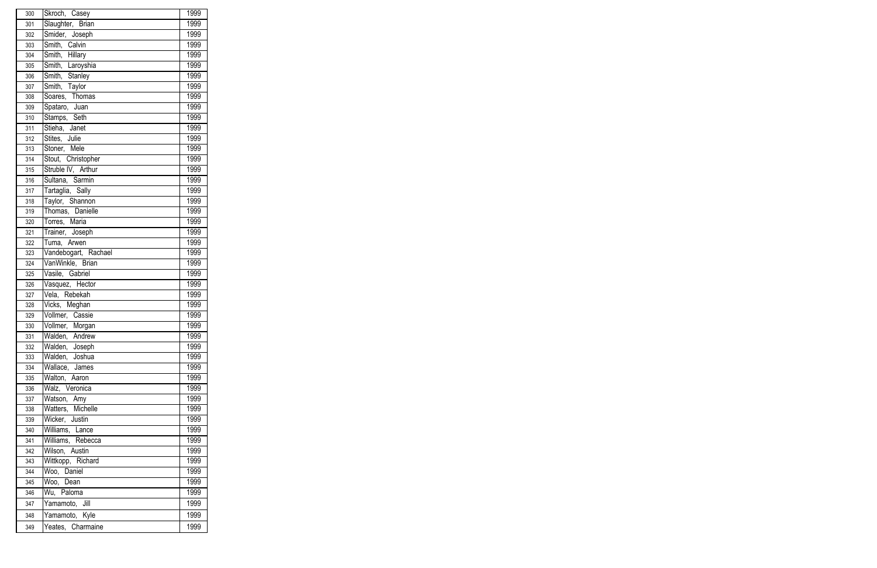| 300 | Skroch, Casey        | 1999 |
|-----|----------------------|------|
| 301 | Slaughter, Brian     | 1999 |
| 302 | Smider, Joseph       | 1999 |
| 303 | Smith, Calvin        | 1999 |
| 304 | Smith, Hillary       | 1999 |
| 305 | Smith, Laroyshia     | 1999 |
| 306 | Smith, Stanley       | 1999 |
| 307 | Smith, Taylor        | 1999 |
| 308 | Soares, Thomas       | 1999 |
| 309 | Spataro, Juan        | 1999 |
| 310 | Stamps, Seth         | 1999 |
| 311 | Stieha, Janet        | 1999 |
| 312 | Stites, Julie        | 1999 |
| 313 | Stoner, Mele         | 1999 |
| 314 | Stout, Christopher   | 1999 |
| 315 | Struble IV, Arthur   | 1999 |
| 316 | Sultana, Sarmin      | 1999 |
| 317 | Tartaglia, Sally     | 1999 |
| 318 | Taylor, Shannon      | 1999 |
| 319 | Thomas, Danielle     | 1999 |
| 320 | Torres, Maria        | 1999 |
| 321 | Trainer, Joseph      | 1999 |
| 322 | Tuma, Arwen          | 1999 |
| 323 | Vandebogart, Rachael | 1999 |
| 324 | VanWinkle, Brian     | 1999 |
| 325 | Vasile, Gabriel      | 1999 |
| 326 | Vasquez, Hector      | 1999 |
| 327 | Vela, Rebekah        | 1999 |
| 328 | Vicks, Meghan        | 1999 |
| 329 | Vollmer, Cassie      | 1999 |
| 330 | Vollmer, Morgan      | 1999 |
| 331 | Walden, Andrew       | 1999 |
| 332 | Walden, Joseph       | 1999 |
| 333 | Walden, Joshua       | 1999 |
| 334 | Wallace, James       | 1999 |
| 335 | Walton, Aaron        | 1999 |
| 336 | Walz, Veronica       | 1999 |
| 337 | Watson, Amy          | 1999 |
| 338 | Watters, Michelle    | 1999 |
| 339 | Wicker, Justin       | 1999 |
| 340 | Williams, Lance      | 1999 |
| 341 | Williams, Rebecca    | 1999 |
| 342 | Wilson, Austin       | 1999 |
| 343 | Wittkopp, Richard    | 1999 |
| 344 | Woo, Daniel          | 1999 |
| 345 | Woo, Dean            | 1999 |
| 346 | Wu, Paloma           | 1999 |
| 347 | Yamamoto, Jill       | 1999 |
| 348 | Yamamoto, Kyle       | 1999 |
| 349 | Yeates, Charmaine    | 1999 |